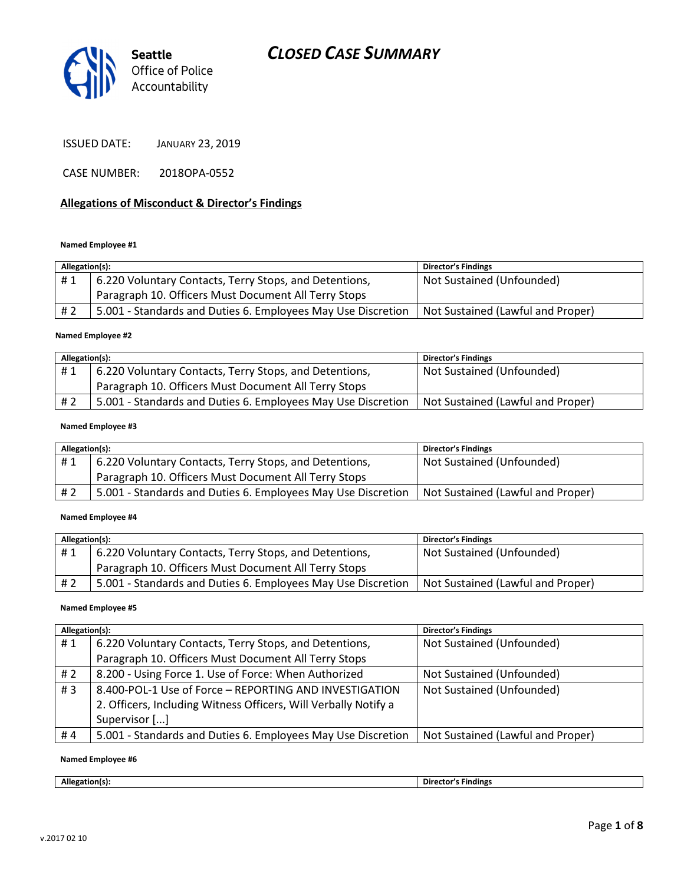

| <b>ISSUED DATE:</b> | <b>JANUARY 23, 2019</b> |
|---------------------|-------------------------|
|---------------------|-------------------------|

CASE NUMBER: 2018OPA-0552

#### Allegations of Misconduct & Director's Findings

#### Named Employee #1

| Allegation(s): |                                                              | <b>Director's Findings</b>        |
|----------------|--------------------------------------------------------------|-----------------------------------|
| #1             | 6.220 Voluntary Contacts, Terry Stops, and Detentions,       | Not Sustained (Unfounded)         |
|                | Paragraph 10. Officers Must Document All Terry Stops         |                                   |
| # 2            | 5.001 - Standards and Duties 6. Employees May Use Discretion | Not Sustained (Lawful and Proper) |
|                |                                                              |                                   |

#### Named Employee #2

| Allegation(s): |                                                              | <b>Director's Findings</b>        |
|----------------|--------------------------------------------------------------|-----------------------------------|
| #1             | 6.220 Voluntary Contacts, Terry Stops, and Detentions,       | Not Sustained (Unfounded)         |
|                | Paragraph 10. Officers Must Document All Terry Stops         |                                   |
| # 2            | 5.001 - Standards and Duties 6. Employees May Use Discretion | Not Sustained (Lawful and Proper) |

#### Named Employee #3

| Allegation(s): |                                                              | <b>Director's Findings</b>        |
|----------------|--------------------------------------------------------------|-----------------------------------|
| #1             | 6.220 Voluntary Contacts, Terry Stops, and Detentions,       | Not Sustained (Unfounded)         |
|                | Paragraph 10. Officers Must Document All Terry Stops         |                                   |
| # 2            | 5.001 - Standards and Duties 6. Employees May Use Discretion | Not Sustained (Lawful and Proper) |

#### Named Employee #4

| Allegation(s): |                                                              | <b>Director's Findings</b>        |
|----------------|--------------------------------------------------------------|-----------------------------------|
| #1             | 6.220 Voluntary Contacts, Terry Stops, and Detentions,       | Not Sustained (Unfounded)         |
|                | Paragraph 10. Officers Must Document All Terry Stops         |                                   |
| # 2            | 5.001 - Standards and Duties 6. Employees May Use Discretion | Not Sustained (Lawful and Proper) |

#### Named Employee #5

| Allegation(s): |                                                                 | <b>Director's Findings</b>        |
|----------------|-----------------------------------------------------------------|-----------------------------------|
| #1             | 6.220 Voluntary Contacts, Terry Stops, and Detentions,          | Not Sustained (Unfounded)         |
|                | Paragraph 10. Officers Must Document All Terry Stops            |                                   |
| #2             | 8.200 - Using Force 1. Use of Force: When Authorized            | Not Sustained (Unfounded)         |
| #3             | 8.400-POL-1 Use of Force - REPORTING AND INVESTIGATION          | Not Sustained (Unfounded)         |
|                | 2. Officers, Including Witness Officers, Will Verbally Notify a |                                   |
|                | Supervisor []                                                   |                                   |
| #4             | 5.001 - Standards and Duties 6. Employees May Use Discretion    | Not Sustained (Lawful and Proper) |

#### Named Employee #6

Allegation(s): Director's Findings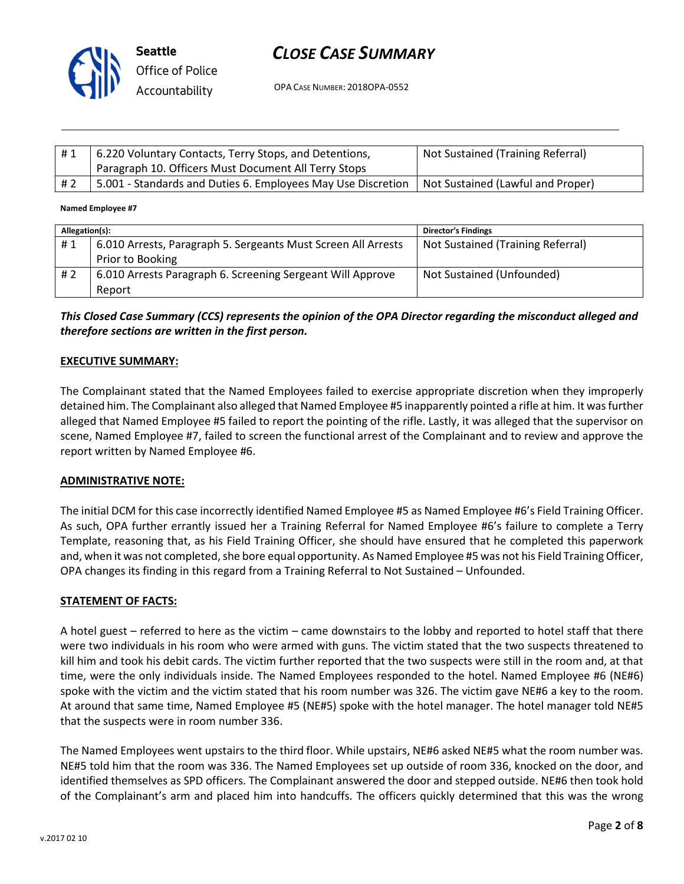

OPA CASE NUMBER: 2018OPA-0552

| #1  | 6.220 Voluntary Contacts, Terry Stops, and Detentions,<br>Paragraph 10. Officers Must Document All Terry Stops | Not Sustained (Training Referral) |
|-----|----------------------------------------------------------------------------------------------------------------|-----------------------------------|
| # 2 | 5.001 - Standards and Duties 6. Employees May Use Discretion                                                   | Not Sustained (Lawful and Proper) |

#### Named Employee #7

| Allegation(s): |                                                               | <b>Director's Findings</b>        |
|----------------|---------------------------------------------------------------|-----------------------------------|
| #1             | 6.010 Arrests, Paragraph 5. Sergeants Must Screen All Arrests | Not Sustained (Training Referral) |
|                | Prior to Booking                                              |                                   |
| #2             | 6.010 Arrests Paragraph 6. Screening Sergeant Will Approve    | Not Sustained (Unfounded)         |
|                | Report                                                        |                                   |

## This Closed Case Summary (CCS) represents the opinion of the OPA Director regarding the misconduct alleged and therefore sections are written in the first person.

#### EXECUTIVE SUMMARY:

The Complainant stated that the Named Employees failed to exercise appropriate discretion when they improperly detained him. The Complainant also alleged that Named Employee #5 inapparently pointed a rifle at him. It was further alleged that Named Employee #5 failed to report the pointing of the rifle. Lastly, it was alleged that the supervisor on scene, Named Employee #7, failed to screen the functional arrest of the Complainant and to review and approve the report written by Named Employee #6.

#### ADMINISTRATIVE NOTE:

The initial DCM for this case incorrectly identified Named Employee #5 as Named Employee #6's Field Training Officer. As such, OPA further errantly issued her a Training Referral for Named Employee #6's failure to complete a Terry Template, reasoning that, as his Field Training Officer, she should have ensured that he completed this paperwork and, when it was not completed, she bore equal opportunity. As Named Employee #5 was not his Field Training Officer, OPA changes its finding in this regard from a Training Referral to Not Sustained – Unfounded.

### STATEMENT OF FACTS:

A hotel guest – referred to here as the victim – came downstairs to the lobby and reported to hotel staff that there were two individuals in his room who were armed with guns. The victim stated that the two suspects threatened to kill him and took his debit cards. The victim further reported that the two suspects were still in the room and, at that time, were the only individuals inside. The Named Employees responded to the hotel. Named Employee #6 (NE#6) spoke with the victim and the victim stated that his room number was 326. The victim gave NE#6 a key to the room. At around that same time, Named Employee #5 (NE#5) spoke with the hotel manager. The hotel manager told NE#5 that the suspects were in room number 336.

The Named Employees went upstairs to the third floor. While upstairs, NE#6 asked NE#5 what the room number was. NE#5 told him that the room was 336. The Named Employees set up outside of room 336, knocked on the door, and identified themselves as SPD officers. The Complainant answered the door and stepped outside. NE#6 then took hold of the Complainant's arm and placed him into handcuffs. The officers quickly determined that this was the wrong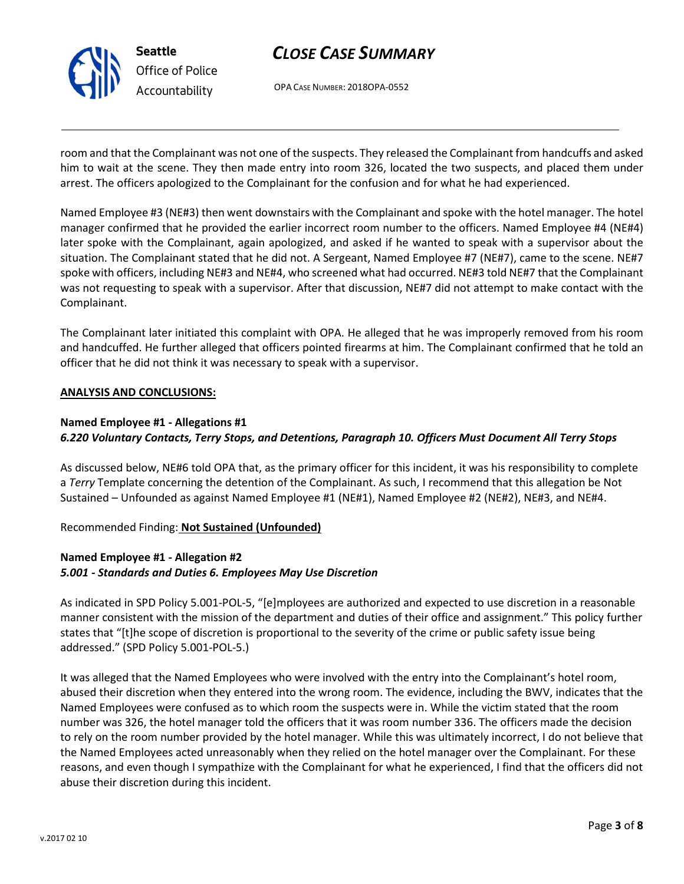

OPA CASE NUMBER: 2018OPA-0552

room and that the Complainant was not one of the suspects. They released the Complainant from handcuffs and asked him to wait at the scene. They then made entry into room 326, located the two suspects, and placed them under arrest. The officers apologized to the Complainant for the confusion and for what he had experienced.

Named Employee #3 (NE#3) then went downstairs with the Complainant and spoke with the hotel manager. The hotel manager confirmed that he provided the earlier incorrect room number to the officers. Named Employee #4 (NE#4) later spoke with the Complainant, again apologized, and asked if he wanted to speak with a supervisor about the situation. The Complainant stated that he did not. A Sergeant, Named Employee #7 (NE#7), came to the scene. NE#7 spoke with officers, including NE#3 and NE#4, who screened what had occurred. NE#3 told NE#7 that the Complainant was not requesting to speak with a supervisor. After that discussion, NE#7 did not attempt to make contact with the Complainant.

The Complainant later initiated this complaint with OPA. He alleged that he was improperly removed from his room and handcuffed. He further alleged that officers pointed firearms at him. The Complainant confirmed that he told an officer that he did not think it was necessary to speak with a supervisor.

### ANALYSIS AND CONCLUSIONS:

### Named Employee #1 - Allegations #1

## 6.220 Voluntary Contacts, Terry Stops, and Detentions, Paragraph 10. Officers Must Document All Terry Stops

As discussed below, NE#6 told OPA that, as the primary officer for this incident, it was his responsibility to complete a Terry Template concerning the detention of the Complainant. As such, I recommend that this allegation be Not Sustained – Unfounded as against Named Employee #1 (NE#1), Named Employee #2 (NE#2), NE#3, and NE#4.

Recommended Finding: Not Sustained (Unfounded)

# Named Employee #1 - Allegation #2 5.001 - Standards and Duties 6. Employees May Use Discretion

As indicated in SPD Policy 5.001-POL-5, "[e]mployees are authorized and expected to use discretion in a reasonable manner consistent with the mission of the department and duties of their office and assignment." This policy further states that "[t]he scope of discretion is proportional to the severity of the crime or public safety issue being addressed." (SPD Policy 5.001-POL-5.)

It was alleged that the Named Employees who were involved with the entry into the Complainant's hotel room, abused their discretion when they entered into the wrong room. The evidence, including the BWV, indicates that the Named Employees were confused as to which room the suspects were in. While the victim stated that the room number was 326, the hotel manager told the officers that it was room number 336. The officers made the decision to rely on the room number provided by the hotel manager. While this was ultimately incorrect, I do not believe that the Named Employees acted unreasonably when they relied on the hotel manager over the Complainant. For these reasons, and even though I sympathize with the Complainant for what he experienced, I find that the officers did not abuse their discretion during this incident.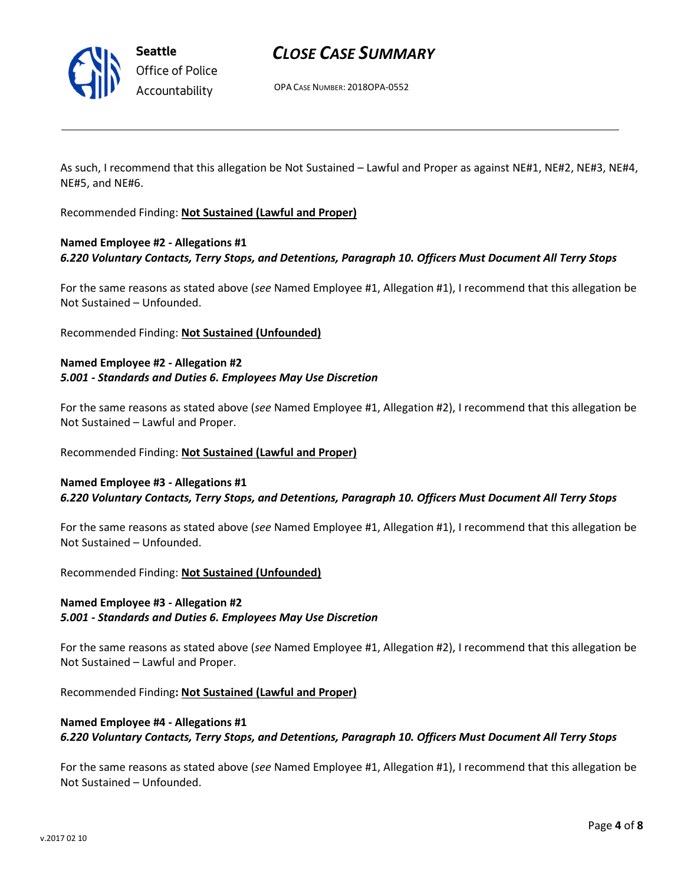

Seattle Office of Police Accountability

# CLOSE CASE SUMMARY

OPA CASE NUMBER: 2018OPA-0552

As such, I recommend that this allegation be Not Sustained – Lawful and Proper as against NE#1, NE#2, NE#3, NE#4, NE#5, and NE#6.

Recommended Finding: Not Sustained (Lawful and Proper)

# Named Employee #2 - Allegations #1 6.220 Voluntary Contacts, Terry Stops, and Detentions, Paragraph 10. Officers Must Document All Terry Stops

For the same reasons as stated above (see Named Employee #1, Allegation #1), I recommend that this allegation be Not Sustained – Unfounded.

Recommended Finding: Not Sustained (Unfounded)

### Named Employee #2 - Allegation #2 5.001 - Standards and Duties 6. Employees May Use Discretion

For the same reasons as stated above (see Named Employee #1, Allegation #2), I recommend that this allegation be Not Sustained – Lawful and Proper.

### Recommended Finding: Not Sustained (Lawful and Proper)

### Named Employee #3 - Allegations #1 6.220 Voluntary Contacts, Terry Stops, and Detentions, Paragraph 10. Officers Must Document All Terry Stops

For the same reasons as stated above (see Named Employee #1, Allegation #1), I recommend that this allegation be Not Sustained – Unfounded.

Recommended Finding: Not Sustained (Unfounded)

### Named Employee #3 - Allegation #2 5.001 - Standards and Duties 6. Employees May Use Discretion

For the same reasons as stated above (see Named Employee #1, Allegation #2), I recommend that this allegation be Not Sustained – Lawful and Proper.

Recommended Finding: Not Sustained (Lawful and Proper)

# Named Employee #4 - Allegations #1 6.220 Voluntary Contacts, Terry Stops, and Detentions, Paragraph 10. Officers Must Document All Terry Stops

For the same reasons as stated above (see Named Employee #1, Allegation #1), I recommend that this allegation be Not Sustained – Unfounded.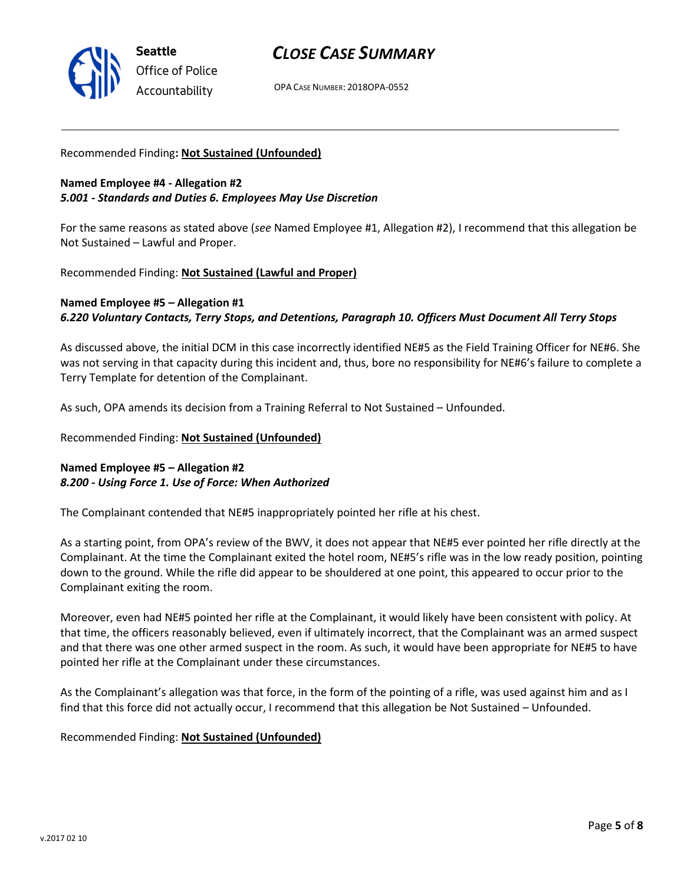

OPA CASE NUMBER: 2018OPA-0552

### Recommended Finding: Not Sustained (Unfounded)

## Named Employee #4 - Allegation #2 5.001 - Standards and Duties 6. Employees May Use Discretion

For the same reasons as stated above (see Named Employee #1, Allegation #2), I recommend that this allegation be Not Sustained – Lawful and Proper.

Recommended Finding: Not Sustained (Lawful and Proper)

# Named Employee #5 – Allegation #1 6.220 Voluntary Contacts, Terry Stops, and Detentions, Paragraph 10. Officers Must Document All Terry Stops

As discussed above, the initial DCM in this case incorrectly identified NE#5 as the Field Training Officer for NE#6. She was not serving in that capacity during this incident and, thus, bore no responsibility for NE#6's failure to complete a Terry Template for detention of the Complainant.

As such, OPA amends its decision from a Training Referral to Not Sustained – Unfounded.

Recommended Finding: Not Sustained (Unfounded)

# Named Employee #5 – Allegation #2 8.200 - Using Force 1. Use of Force: When Authorized

The Complainant contended that NE#5 inappropriately pointed her rifle at his chest.

As a starting point, from OPA's review of the BWV, it does not appear that NE#5 ever pointed her rifle directly at the Complainant. At the time the Complainant exited the hotel room, NE#5's rifle was in the low ready position, pointing down to the ground. While the rifle did appear to be shouldered at one point, this appeared to occur prior to the Complainant exiting the room.

Moreover, even had NE#5 pointed her rifle at the Complainant, it would likely have been consistent with policy. At that time, the officers reasonably believed, even if ultimately incorrect, that the Complainant was an armed suspect and that there was one other armed suspect in the room. As such, it would have been appropriate for NE#5 to have pointed her rifle at the Complainant under these circumstances.

As the Complainant's allegation was that force, in the form of the pointing of a rifle, was used against him and as I find that this force did not actually occur, I recommend that this allegation be Not Sustained – Unfounded.

### Recommended Finding: Not Sustained (Unfounded)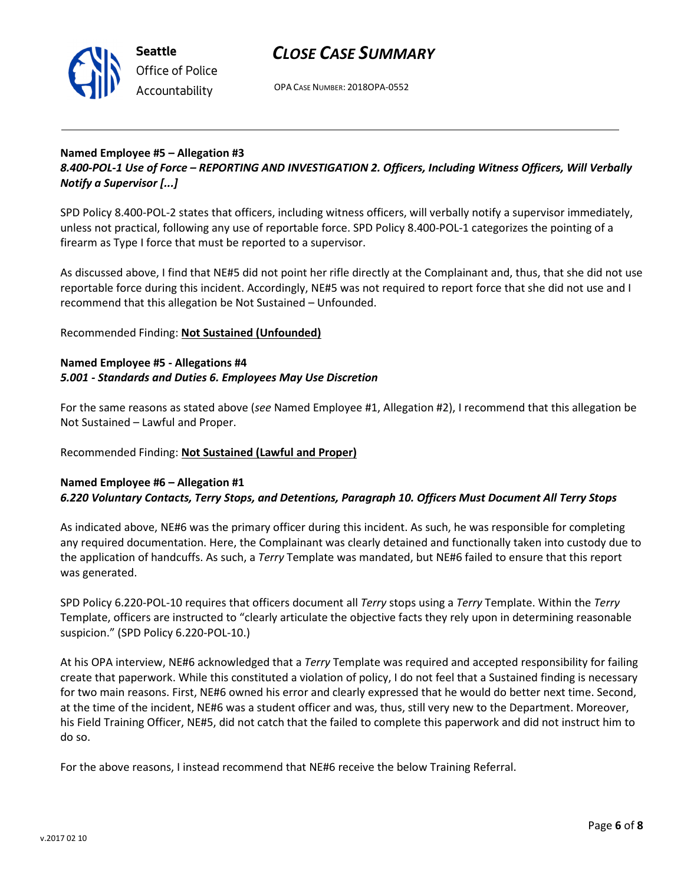

OPA CASE NUMBER: 2018OPA-0552

### Named Employee #5 – Allegation #3 8.400-POL-1 Use of Force – REPORTING AND INVESTIGATION 2. Officers, Including Witness Officers, Will Verbally Notify a Supervisor [...]

SPD Policy 8.400-POL-2 states that officers, including witness officers, will verbally notify a supervisor immediately, unless not practical, following any use of reportable force. SPD Policy 8.400-POL-1 categorizes the pointing of a firearm as Type I force that must be reported to a supervisor.

As discussed above, I find that NE#5 did not point her rifle directly at the Complainant and, thus, that she did not use reportable force during this incident. Accordingly, NE#5 was not required to report force that she did not use and I recommend that this allegation be Not Sustained – Unfounded.

Recommended Finding: Not Sustained (Unfounded)

## Named Employee #5 - Allegations #4 5.001 - Standards and Duties 6. Employees May Use Discretion

For the same reasons as stated above (see Named Employee #1, Allegation #2), I recommend that this allegation be Not Sustained – Lawful and Proper.

# Recommended Finding: Not Sustained (Lawful and Proper)

# Named Employee #6 – Allegation #1 6.220 Voluntary Contacts, Terry Stops, and Detentions, Paragraph 10. Officers Must Document All Terry Stops

As indicated above, NE#6 was the primary officer during this incident. As such, he was responsible for completing any required documentation. Here, the Complainant was clearly detained and functionally taken into custody due to the application of handcuffs. As such, a Terry Template was mandated, but NE#6 failed to ensure that this report was generated.

SPD Policy 6.220-POL-10 requires that officers document all Terry stops using a Terry Template. Within the Terry Template, officers are instructed to "clearly articulate the objective facts they rely upon in determining reasonable suspicion." (SPD Policy 6.220-POL-10.)

At his OPA interview, NE#6 acknowledged that a Terry Template was required and accepted responsibility for failing create that paperwork. While this constituted a violation of policy, I do not feel that a Sustained finding is necessary for two main reasons. First, NE#6 owned his error and clearly expressed that he would do better next time. Second, at the time of the incident, NE#6 was a student officer and was, thus, still very new to the Department. Moreover, his Field Training Officer, NE#5, did not catch that the failed to complete this paperwork and did not instruct him to do so.

For the above reasons, I instead recommend that NE#6 receive the below Training Referral.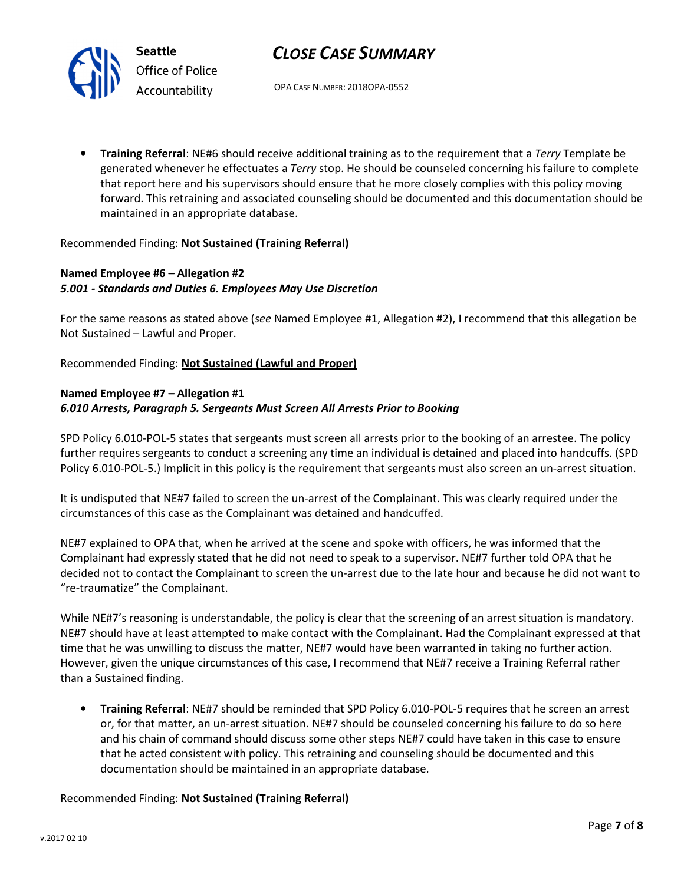

Seattle Office of Police Accountability

# CLOSE CASE SUMMARY

OPA CASE NUMBER: 2018OPA-0552

• Training Referral: NE#6 should receive additional training as to the requirement that a Terry Template be generated whenever he effectuates a Terry stop. He should be counseled concerning his failure to complete that report here and his supervisors should ensure that he more closely complies with this policy moving forward. This retraining and associated counseling should be documented and this documentation should be maintained in an appropriate database.

### Recommended Finding: Not Sustained (Training Referral)

# Named Employee #6 – Allegation #2 5.001 - Standards and Duties 6. Employees May Use Discretion

For the same reasons as stated above (see Named Employee #1, Allegation #2), I recommend that this allegation be Not Sustained – Lawful and Proper.

Recommended Finding: Not Sustained (Lawful and Proper)

### Named Employee #7 – Allegation #1 6.010 Arrests, Paragraph 5. Sergeants Must Screen All Arrests Prior to Booking

SPD Policy 6.010-POL-5 states that sergeants must screen all arrests prior to the booking of an arrestee. The policy further requires sergeants to conduct a screening any time an individual is detained and placed into handcuffs. (SPD Policy 6.010-POL-5.) Implicit in this policy is the requirement that sergeants must also screen an un-arrest situation.

It is undisputed that NE#7 failed to screen the un-arrest of the Complainant. This was clearly required under the circumstances of this case as the Complainant was detained and handcuffed.

NE#7 explained to OPA that, when he arrived at the scene and spoke with officers, he was informed that the Complainant had expressly stated that he did not need to speak to a supervisor. NE#7 further told OPA that he decided not to contact the Complainant to screen the un-arrest due to the late hour and because he did not want to "re-traumatize" the Complainant.

While NE#7's reasoning is understandable, the policy is clear that the screening of an arrest situation is mandatory. NE#7 should have at least attempted to make contact with the Complainant. Had the Complainant expressed at that time that he was unwilling to discuss the matter, NE#7 would have been warranted in taking no further action. However, given the unique circumstances of this case, I recommend that NE#7 receive a Training Referral rather than a Sustained finding.

• Training Referral: NE#7 should be reminded that SPD Policy 6.010-POL-5 requires that he screen an arrest or, for that matter, an un-arrest situation. NE#7 should be counseled concerning his failure to do so here and his chain of command should discuss some other steps NE#7 could have taken in this case to ensure that he acted consistent with policy. This retraining and counseling should be documented and this documentation should be maintained in an appropriate database.

Recommended Finding: Not Sustained (Training Referral)